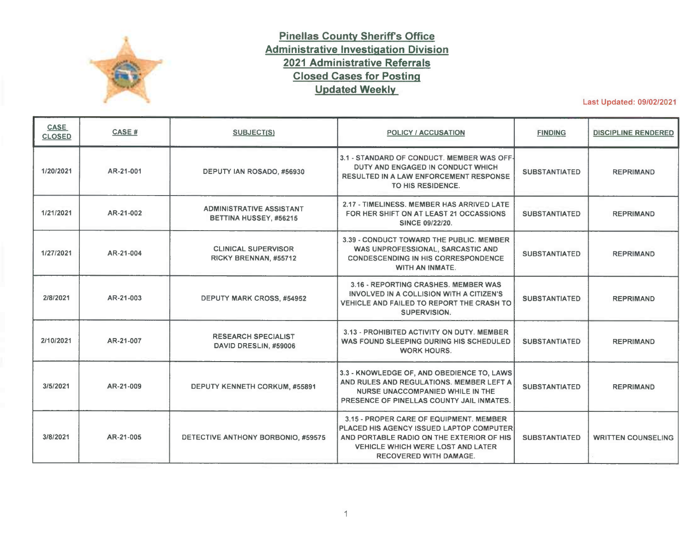

## **Pinellas County Sheriff's Office Administrative Investigation Division 2021 Administrative Referrals Closed Cases for Posting Updated Weekly**

Last Updated: 09/02/2021

| <b>CASE</b><br><b>CLOSED</b> | CASE#     | <b>SUBJECT(S)</b>                                         | POLICY / ACCUSATION                                                                                                                                                                                           | <b>FINDING</b>       | <b>DISCIPLINE RENDERED</b> |
|------------------------------|-----------|-----------------------------------------------------------|---------------------------------------------------------------------------------------------------------------------------------------------------------------------------------------------------------------|----------------------|----------------------------|
| 1/20/2021                    | AR-21-001 | DEPUTY IAN ROSADO, #56930                                 | 3.1 - STANDARD OF CONDUCT. MEMBER WAS OFF-<br>DUTY AND ENGAGED IN CONDUCT WHICH<br><b>RESULTED IN A LAW ENFORCEMENT RESPONSE</b><br>TO HIS RESIDENCE.                                                         | <b>SUBSTANTIATED</b> | <b>REPRIMAND</b>           |
| 1/21/2021                    | AR-21-002 | <b>ADMINISTRATIVE ASSISTANT</b><br>BETTINA HUSSEY, #56215 | 2.17 - TIMELINESS, MEMBER HAS ARRIVED LATE<br>FOR HER SHIFT ON AT LEAST 21 OCCASSIONS<br><b>SINCE 09/22/20.</b>                                                                                               | <b>SUBSTANTIATED</b> | <b>REPRIMAND</b>           |
| 1/27/2021                    | AR-21-004 | <b>CLINICAL SUPERVISOR</b><br>RICKY BRENNAN, #55712       | 3.39 - CONDUCT TOWARD THE PUBLIC. MEMBER<br>WAS UNPROFESSIONAL, SARCASTIC AND<br><b>CONDESCENDING IN HIS CORRESPONDENCE</b><br>WITH AN INMATE.                                                                | <b>SUBSTANTIATED</b> | <b>REPRIMAND</b>           |
| 2/8/2021                     | AR-21-003 | <b>DEPUTY MARK CROSS, #54952</b>                          | 3.16 - REPORTING CRASHES. MEMBER WAS<br>INVOLVED IN A COLLISION WITH A CITIZEN'S<br>VEHICLE AND FAILED TO REPORT THE CRASH TO<br>SUPERVISION.                                                                 | <b>SUBSTANTIATED</b> | <b>REPRIMAND</b>           |
| 2/10/2021                    | AR-21-007 | <b>RESEARCH SPECIALIST</b><br>DAVID DRESLIN, #59006       | 3.13 - PROHIBITED ACTIVITY ON DUTY, MEMBER<br>WAS FOUND SLEEPING DURING HIS SCHEDULED<br><b>WORK HOURS.</b>                                                                                                   | <b>SUBSTANTIATED</b> | <b>REPRIMAND</b>           |
| 3/5/2021                     | AR-21-009 | <b>DEPUTY KENNETH CORKUM, #55891</b>                      | 3.3 - KNOWLEDGE OF, AND OBEDIENCE TO, LAWS<br>AND RULES AND REGULATIONS. MEMBER LEFT A<br>NURSE UNACCOMPANIED WHILE IN THE<br>PRESENCE OF PINELLAS COUNTY JAIL INMATES.                                       | <b>SUBSTANTIATED</b> | <b>REPRIMAND</b>           |
| 3/8/2021                     | AR-21-005 | DETECTIVE ANTHONY BORBONIO, #59575                        | 3.15 - PROPER CARE OF EQUIPMENT, MEMBER<br>PLACED HIS AGENCY ISSUED LAPTOP COMPUTER<br>AND PORTABLE RADIO ON THE EXTERIOR OF HIS<br><b>VEHICLE WHICH WERE LOST AND LATER</b><br><b>RECOVERED WITH DAMAGE.</b> | <b>SUBSTANTIATED</b> | <b>WRITTEN COUNSELING</b>  |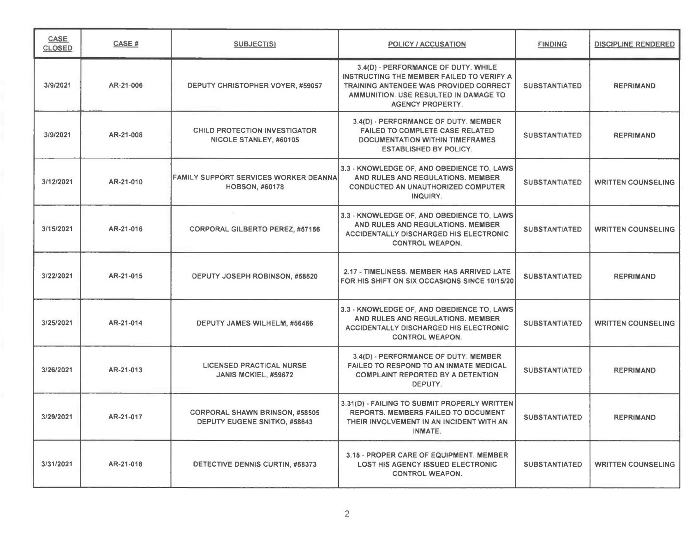| CASE<br><b>CLOSED</b> | CASE #    | <b>SUBJECT(S)</b>                                                     | <b>POLICY / ACCUSATION</b>                                                                                                                                                                     | <b>FINDING</b>       | <b>DISCIPLINE RENDERED</b> |
|-----------------------|-----------|-----------------------------------------------------------------------|------------------------------------------------------------------------------------------------------------------------------------------------------------------------------------------------|----------------------|----------------------------|
| 3/9/2021              | AR-21-006 | DEPUTY CHRISTOPHER VOYER, #59057                                      | 3.4(D) - PERFORMANCE OF DUTY. WHILE<br>INSTRUCTING THE MEMBER FAILED TO VERIFY A<br>TRAINING ANTENDEE WAS PROVIDED CORRECT<br>AMMUNITION. USE RESULTED IN DAMAGE TO<br><b>AGENCY PROPERTY.</b> | <b>SUBSTANTIATED</b> | <b>REPRIMAND</b>           |
| 3/9/2021              | AR-21-008 | <b>CHILD PROTECTION INVESTIGATOR</b><br>NICOLE STANLEY, #60105        | 3.4(D) - PERFORMANCE OF DUTY. MEMBER<br><b>FAILED TO COMPLETE CASE RELATED</b><br><b>DOCUMENTATION WITHIN TIMEFRAMES</b><br><b>ESTABLISHED BY POLICY.</b>                                      | <b>SUBSTANTIATED</b> | <b>REPRIMAND</b>           |
| 3/12/2021             | AR-21-010 | <b>FAMILY SUPPORT SERVICES WORKER DEANNA</b><br><b>HOBSON, #60178</b> | 3.3 - KNOWLEDGE OF, AND OBEDIENCE TO, LAWS<br>AND RULES AND REGULATIONS. MEMBER<br><b>CONDUCTED AN UNAUTHORIZED COMPUTER</b><br>INQUIRY.                                                       | <b>SUBSTANTIATED</b> | <b>WRITTEN COUNSELING</b>  |
| 3/15/2021             | AR-21-016 | <b>CORPORAL GILBERTO PEREZ, #57156</b>                                | 3.3 - KNOWLEDGE OF, AND OBEDIENCE TO, LAWS<br>AND RULES AND REGULATIONS. MEMBER<br><b>ACCIDENTALLY DISCHARGED HIS ELECTRONIC</b><br><b>CONTROL WEAPON.</b>                                     | <b>SUBSTANTIATED</b> | <b>WRITTEN COUNSELING</b>  |
| 3/22/2021             | AR-21-015 | DEPUTY JOSEPH ROBINSON, #58520                                        | 2.17 - TIMELINESS. MEMBER HAS ARRIVED LATE<br>FOR HIS SHIFT ON SIX OCCASIONS SINCE 10/15/20                                                                                                    | <b>SUBSTANTIATED</b> | <b>REPRIMAND</b>           |
| 3/25/2021             | AR-21-014 | DEPUTY JAMES WILHELM, #56466                                          | 3.3 - KNOWLEDGE OF, AND OBEDIENCE TO, LAWS<br>AND RULES AND REGULATIONS. MEMBER<br>ACCIDENTALLY DISCHARGED HIS ELECTRONIC<br><b>CONTROL WEAPON.</b>                                            | <b>SUBSTANTIATED</b> | <b>WRITTEN COUNSELING</b>  |
| 3/26/2021             | AR-21-013 | <b>LICENSED PRACTICAL NURSE</b><br>JANIS MCKIEL, #59672               | 3.4(D) - PERFORMANCE OF DUTY. MEMBER<br><b>FAILED TO RESPOND TO AN INMATE MEDICAL</b><br><b>COMPLAINT REPORTED BY A DETENTION</b><br>DEPUTY.                                                   | <b>SUBSTANTIATED</b> | <b>REPRIMAND</b>           |
| 3/29/2021             | AR-21-017 | <b>CORPORAL SHAWN BRINSON, #58505</b><br>DEPUTY EUGENE SNITKO, #58643 | 3.31(D) - FAILING TO SUBMIT PROPERLY WRITTEN<br>REPORTS. MEMBERS FAILED TO DOCUMENT<br>THEIR INVOLVEMENT IN AN INCIDENT WITH AN<br><b>INMATE.</b>                                              | <b>SUBSTANTIATED</b> | <b>REPRIMAND</b>           |
| 3/31/2021             | AR-21-018 | DETECTIVE DENNIS CURTIN, #58373                                       | 3.15 - PROPER CARE OF EQUIPMENT. MEMBER<br><b>LOST HIS AGENCY ISSUED ELECTRONIC</b><br><b>CONTROL WEAPON.</b>                                                                                  | <b>SUBSTANTIATED</b> | <b>WRITTEN COUNSELING</b>  |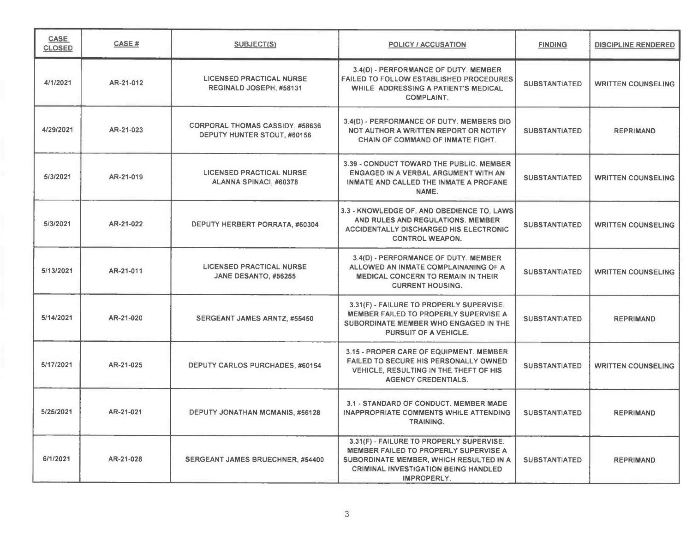| <b>CASE</b><br><b>CLOSED</b> | CASE#     | <b>SUBJECT(S)</b>                                                     | <b>POLICY / ACCUSATION</b>                                                                                                                                                                 | <b>FINDING</b>       | <b>DISCIPLINE RENDERED</b> |
|------------------------------|-----------|-----------------------------------------------------------------------|--------------------------------------------------------------------------------------------------------------------------------------------------------------------------------------------|----------------------|----------------------------|
| 4/1/2021                     | AR-21-012 | <b>LICENSED PRACTICAL NURSE</b><br>REGINALD JOSEPH, #58131            | 3.4(D) - PERFORMANCE OF DUTY. MEMBER<br><b>FAILED TO FOLLOW ESTABLISHED PROCEDURES</b><br>WHILE ADDRESSING A PATIENT'S MEDICAL<br><b>COMPLAINT.</b>                                        | <b>SUBSTANTIATED</b> | <b>WRITTEN COUNSELING</b>  |
| 4/29/2021                    | AR-21-023 | <b>CORPORAL THOMAS CASSIDY, #58636</b><br>DEPUTY HUNTER STOUT, #60156 | 3.4(D) - PERFORMANCE OF DUTY. MEMBERS DID<br>NOT AUTHOR A WRITTEN REPORT OR NOTIFY<br><b>CHAIN OF COMMAND OF INMATE FIGHT.</b>                                                             | <b>SUBSTANTIATED</b> | <b>REPRIMAND</b>           |
| 5/3/2021                     | AR-21-019 | <b>LICENSED PRACTICAL NURSE</b><br>ALANNA SPINACI, #60378             | 3.39 - CONDUCT TOWARD THE PUBLIC. MEMBER<br>ENGAGED IN A VERBAL ARGUMENT WITH AN<br>INMATE AND CALLED THE INMATE A PROFANE<br>NAME.                                                        | <b>SUBSTANTIATED</b> | <b>WRITTEN COUNSELING</b>  |
| 5/3/2021                     | AR-21-022 | DEPUTY HERBERT PORRATA, #60304                                        | 3.3 - KNOWLEDGE OF, AND OBEDIENCE TO, LAWS<br>AND RULES AND REGULATIONS. MEMBER<br><b>ACCIDENTALLY DISCHARGED HIS ELECTRONIC</b><br><b>CONTROL WEAPON.</b>                                 | <b>SUBSTANTIATED</b> | <b>WRITTEN COUNSELING</b>  |
| 5/13/2021                    | AR-21-011 | <b>LICENSED PRACTICAL NURSE</b><br>JANE DESANTO, #56255               | 3.4(D) - PERFORMANCE OF DUTY. MEMBER<br>ALLOWED AN INMATE COMPLAINANING OF A<br><b>MEDICAL CONCERN TO REMAIN IN THEIR</b><br><b>CURRENT HOUSING.</b>                                       | <b>SUBSTANTIATED</b> | <b>WRITTEN COUNSELING</b>  |
| 5/14/2021                    | AR-21-020 | SERGEANT JAMES ARNTZ, #55450                                          | 3.31(F) - FAILURE TO PROPERLY SUPERVISE.<br>MEMBER FAILED TO PROPERLY SUPERVISE A<br>SUBORDINATE MEMBER WHO ENGAGED IN THE<br>PURSUIT OF A VEHICLE.                                        | <b>SUBSTANTIATED</b> | <b>REPRIMAND</b>           |
| 5/17/2021                    | AR-21-025 | <b>DEPUTY CARLOS PURCHADES, #60154</b>                                | 3.15 - PROPER CARE OF EQUIPMENT. MEMBER<br>FAILED TO SECURE HIS PERSONALLY OWNED<br>VEHICLE, RESULTING IN THE THEFT OF HIS<br><b>AGENCY CREDENTIALS.</b>                                   | <b>SUBSTANTIATED</b> | <b>WRITTEN COUNSELING</b>  |
| 5/25/2021                    | AR-21-021 | <b>DEPUTY JONATHAN MCMANIS, #56128</b>                                | 3.1 - STANDARD OF CONDUCT. MEMBER MADE<br><b>INAPPROPRIATE COMMENTS WHILE ATTENDING</b><br>TRAINING.                                                                                       | <b>SUBSTANTIATED</b> | <b>REPRIMAND</b>           |
| 6/1/2021                     | AR-21-028 | <b>SERGEANT JAMES BRUECHNER, #54400</b>                               | 3.31(F) - FAILURE TO PROPERLY SUPERVISE.<br>MEMBER FAILED TO PROPERLY SUPERVISE A<br>SUBORDINATE MEMBER, WHICH RESULTED IN A<br><b>CRIMINAL INVESTIGATION BEING HANDLED</b><br>IMPROPERLY. | <b>SUBSTANTIATED</b> | <b>REPRIMAND</b>           |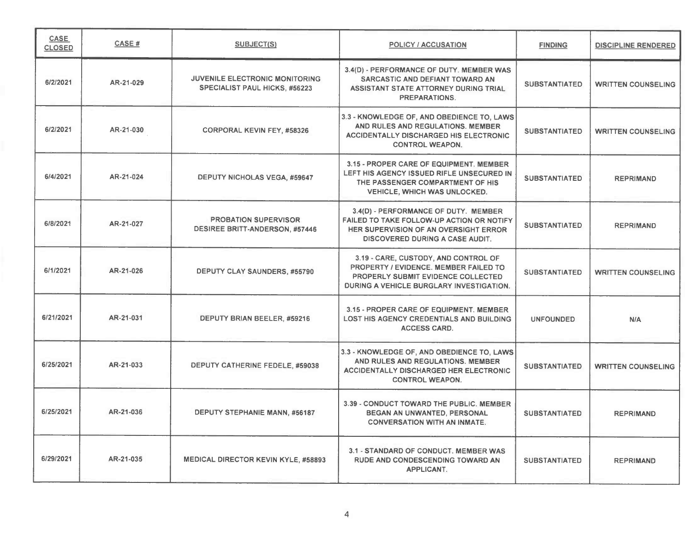| CASE<br><b>CLOSED</b> | CASE#     | SUBJECT(S)                                                                    | <b>POLICY / ACCUSATION</b>                                                                                                                                      | <b>FINDING</b>       | <b>DISCIPLINE RENDERED</b> |
|-----------------------|-----------|-------------------------------------------------------------------------------|-----------------------------------------------------------------------------------------------------------------------------------------------------------------|----------------------|----------------------------|
| 6/2/2021              | AR-21-029 | <b>JUVENILE ELECTRONIC MONITORING</b><br><b>SPECIALIST PAUL HICKS, #56223</b> | 3.4(D) - PERFORMANCE OF DUTY. MEMBER WAS<br>SARCASTIC AND DEFIANT TOWARD AN<br>ASSISTANT STATE ATTORNEY DURING TRIAL<br>PREPARATIONS.                           | <b>SUBSTANTIATED</b> | <b>WRITTEN COUNSELING</b>  |
| 6/2/2021              | AR-21-030 | <b>CORPORAL KEVIN FEY, #58326</b>                                             | 3.3 - KNOWLEDGE OF, AND OBEDIENCE TO, LAWS<br>AND RULES AND REGULATIONS. MEMBER<br><b>ACCIDENTALLY DISCHARGED HIS ELECTRONIC</b><br><b>CONTROL WEAPON.</b>      | <b>SUBSTANTIATED</b> | <b>WRITTEN COUNSELING</b>  |
| 6/4/2021              | AR-21-024 | <b>DEPUTY NICHOLAS VEGA, #59647</b>                                           | 3.15 - PROPER CARE OF EQUIPMENT. MEMBER<br>LEFT HIS AGENCY ISSUED RIFLE UNSECURED IN<br>THE PASSENGER COMPARTMENT OF HIS<br><b>VEHICLE, WHICH WAS UNLOCKED.</b> | <b>SUBSTANTIATED</b> | <b>REPRIMAND</b>           |
| 6/8/2021              | AR-21-027 | <b>PROBATION SUPERVISOR</b><br><b>DESIREE BRITT-ANDERSON, #57446</b>          | 3.4(D) - PERFORMANCE OF DUTY. MEMBER<br>FAILED TO TAKE FOLLOW-UP ACTION OR NOTIFY<br>HER SUPERVISION OF AN OVERSIGHT ERROR<br>DISCOVERED DURING A CASE AUDIT.   | <b>SUBSTANTIATED</b> | <b>REPRIMAND</b>           |
| 6/1/2021              | AR-21-026 | DEPUTY CLAY SAUNDERS, #55790                                                  | 3.19 - CARE, CUSTODY, AND CONTROL OF<br>PROPERTY / EVIDENCE. MEMBER FAILED TO<br>PROPERLY SUBMIT EVIDENCE COLLECTED<br>DURING A VEHICLE BURGLARY INVESTIGATION. | <b>SUBSTANTIATED</b> | <b>WRITTEN COUNSELING</b>  |
| 6/21/2021             | AR-21-031 | DEPUTY BRIAN BEELER, #59216                                                   | 3.15 - PROPER CARE OF EQUIPMENT. MEMBER<br><b>LOST HIS AGENCY CREDENTIALS AND BUILDING</b><br><b>ACCESS CARD.</b>                                               | <b>UNFOUNDED</b>     | N/A                        |
| 6/25/2021             | AR-21-033 | DEPUTY CATHERINE FEDELE, #59038                                               | 3.3 - KNOWLEDGE OF, AND OBEDIENCE TO, LAWS<br>AND RULES AND REGULATIONS. MEMBER<br><b>ACCIDENTALLY DISCHARGED HER ELECTRONIC</b><br><b>CONTROL WEAPON.</b>      | <b>SUBSTANTIATED</b> | <b>WRITTEN COUNSELING</b>  |
| 6/25/2021             | AR-21-036 | DEPUTY STEPHANIE MANN, #56187                                                 | 3.39 - CONDUCT TOWARD THE PUBLIC, MEMBER<br>BEGAN AN UNWANTED, PERSONAL<br><b>CONVERSATION WITH AN INMATE.</b>                                                  | <b>SUBSTANTIATED</b> | <b>REPRIMAND</b>           |
| 6/29/2021             | AR-21-035 | <b>MEDICAL DIRECTOR KEVIN KYLE, #58893</b>                                    | 3.1 - STANDARD OF CONDUCT. MEMBER WAS<br><b>RUDE AND CONDESCENDING TOWARD AN</b><br><b>APPLICANT.</b>                                                           | <b>SUBSTANTIATED</b> | <b>REPRIMAND</b>           |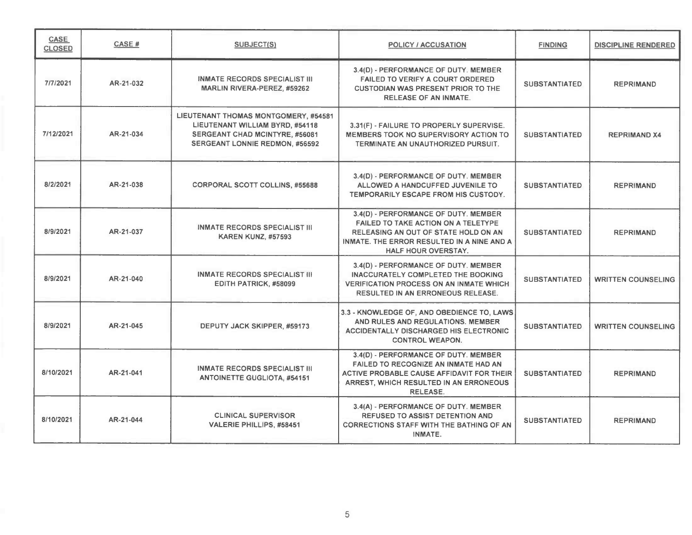| <b>CASE</b><br><b>CLOSED</b> | CASE#     | <b>SUBJECT(S)</b>                                                                                                                                  | <b>POLICY / ACCUSATION</b>                                                                                                                                                                      | <b>FINDING</b>       | <b>DISCIPLINE RENDERED</b> |
|------------------------------|-----------|----------------------------------------------------------------------------------------------------------------------------------------------------|-------------------------------------------------------------------------------------------------------------------------------------------------------------------------------------------------|----------------------|----------------------------|
| 7/7/2021                     | AR-21-032 | <b>INMATE RECORDS SPECIALIST III</b><br><b>MARLIN RIVERA-PEREZ, #59262</b>                                                                         | 3.4(D) - PERFORMANCE OF DUTY. MEMBER<br><b>FAILED TO VERIFY A COURT ORDERED</b><br><b>CUSTODIAN WAS PRESENT PRIOR TO THE</b><br><b>RELEASE OF AN INMATE.</b>                                    | <b>SUBSTANTIATED</b> | <b>REPRIMAND</b>           |
| 7/12/2021                    | AR-21-034 | LIEUTENANT THOMAS MONTGOMERY, #54581<br>LIEUTENANT WILLIAM BYRD, #54118<br>SERGEANT CHAD MCINTYRE, #56081<br><b>SERGEANT LONNIE REDMON, #56592</b> | 3.31(F) - FAILURE TO PROPERLY SUPERVISE.<br>MEMBERS TOOK NO SUPERVISORY ACTION TO<br>TERMINATE AN UNAUTHORIZED PURSUIT.                                                                         | <b>SUBSTANTIATED</b> | <b>REPRIMAND X4</b>        |
| 8/2/2021                     | AR-21-038 | <b>CORPORAL SCOTT COLLINS, #55688</b>                                                                                                              | 3.4(D) - PERFORMANCE OF DUTY. MEMBER<br>ALLOWED A HANDCUFFED JUVENILE TO<br>TEMPORARILY ESCAPE FROM HIS CUSTODY.                                                                                | <b>SUBSTANTIATED</b> | <b>REPRIMAND</b>           |
| 8/9/2021                     | AR-21-037 | <b>INMATE RECORDS SPECIALIST III</b><br><b>KAREN KUNZ, #57593</b>                                                                                  | 3.4(D) - PERFORMANCE OF DUTY. MEMBER<br><b>FAILED TO TAKE ACTION ON A TELETYPE</b><br>RELEASING AN OUT OF STATE HOLD ON AN<br>INMATE. THE ERROR RESULTED IN A NINE AND A<br>HALF HOUR OVERSTAY. | <b>SUBSTANTIATED</b> | <b>REPRIMAND</b>           |
| 8/9/2021                     | AR-21-040 | <b>INMATE RECORDS SPECIALIST III</b><br>EDITH PATRICK, #58099                                                                                      | 3.4(D) - PERFORMANCE OF DUTY. MEMBER<br><b>INACCURATELY COMPLETED THE BOOKING</b><br><b>VERIFICATION PROCESS ON AN INMATE WHICH</b><br><b>RESULTED IN AN ERRONEOUS RELEASE.</b>                 | <b>SUBSTANTIATED</b> | <b>WRITTEN COUNSELING</b>  |
| 8/9/2021                     | AR-21-045 | DEPUTY JACK SKIPPER, #59173                                                                                                                        | 3.3 - KNOWLEDGE OF, AND OBEDIENCE TO, LAWS<br>AND RULES AND REGULATIONS. MEMBER<br><b>ACCIDENTALLY DISCHARGED HIS ELECTRONIC</b><br><b>CONTROL WEAPON.</b>                                      | <b>SUBSTANTIATED</b> | <b>WRITTEN COUNSELING</b>  |
| 8/10/2021                    | AR-21-041 | <b>INMATE RECORDS SPECIALIST III</b><br><b>ANTOINETTE GUGLIOTA, #54151</b>                                                                         | 3.4(D) - PERFORMANCE OF DUTY. MEMBER<br><b>FAILED TO RECOGNIZE AN INMATE HAD AN</b><br>ACTIVE PROBABLE CAUSE AFFIDAVIT FOR THEIR<br>ARREST, WHICH RESULTED IN AN ERRONEOUS<br><b>RELEASE.</b>   | <b>SUBSTANTIATED</b> | <b>REPRIMAND</b>           |
| 8/10/2021                    | AR-21-044 | <b>CLINICAL SUPERVISOR</b><br><b>VALERIE PHILLIPS, #58451</b>                                                                                      | 3.4(A) - PERFORMANCE OF DUTY. MEMBER<br><b>REFUSED TO ASSIST DETENTION AND</b><br><b>CORRECTIONS STAFF WITH THE BATHING OF AN</b><br>INMATE.                                                    | <b>SUBSTANTIATED</b> | <b>REPRIMAND</b>           |